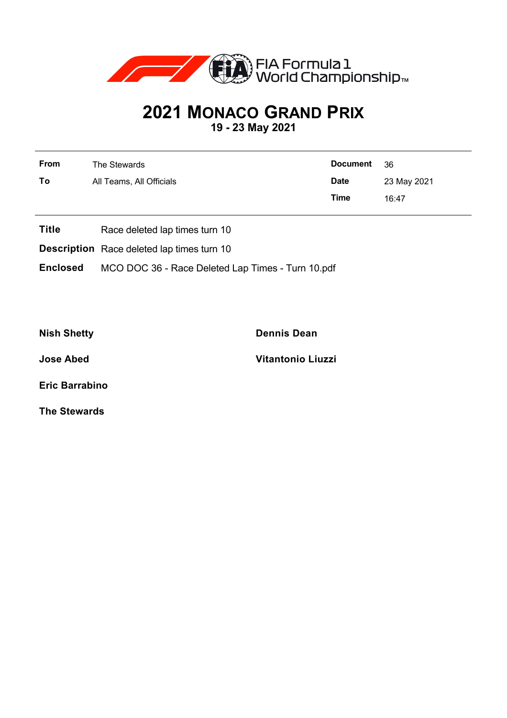

## **2021 MONACO GRAND PRIX**

**19 - 23 May 2021**

| <b>From</b> | The Stewards             | <b>Document</b> | - 36        |  |
|-------------|--------------------------|-----------------|-------------|--|
| To          | All Teams, All Officials | <b>Date</b>     | 23 May 2021 |  |
|             |                          | Time            | 16:47       |  |

- **Title** Race deleted lap times turn 10
- **Description** Race deleted lap times turn 10
- **Enclosed** MCO DOC 36 Race Deleted Lap Times Turn 10.pdf

**Nish Shetty Dennis Dean**

**Jose Abed Vitantonio Liuzzi**

**Eric Barrabino**

**The Stewards**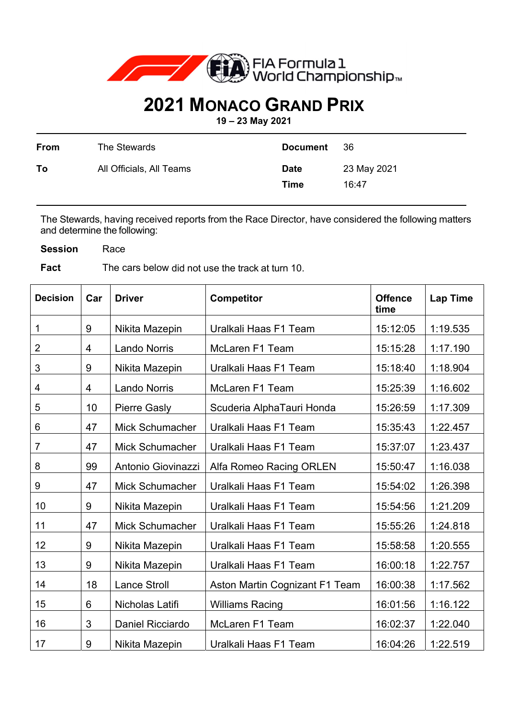

## **2021 MONACO GRAND PRIX**

**19 – 23 May 2021** 

| From | The Stewards             | <b>Document</b>            | -36                  |
|------|--------------------------|----------------------------|----------------------|
| To   | All Officials, All Teams | <b>Date</b><br><b>Time</b> | 23 May 2021<br>16:47 |

The Stewards, having received reports from the Race Director, have considered the following matters and determine the following:

**Session** Race

**Fact** The cars below did not use the track at turn 10.

| <b>Decision</b> | Car | <b>Driver</b>          | <b>Competitor</b>              | <b>Offence</b><br>time | <b>Lap Time</b> |
|-----------------|-----|------------------------|--------------------------------|------------------------|-----------------|
| 1               | 9   | Nikita Mazepin         | Uralkali Haas F1 Team          | 15:12:05               | 1:19.535        |
| $\overline{2}$  | 4   | <b>Lando Norris</b>    | <b>McLaren F1 Team</b>         | 15:15:28               | 1:17.190        |
| 3               | 9   | Nikita Mazepin         | Uralkali Haas F1 Team          | 15:18:40               | 1:18.904        |
| 4               | 4   | <b>Lando Norris</b>    | <b>McLaren F1 Team</b>         | 15:25:39               | 1:16.602        |
| 5               | 10  | <b>Pierre Gasly</b>    | Scuderia AlphaTauri Honda      | 15:26:59               | 1:17.309        |
| 6               | 47  | <b>Mick Schumacher</b> | Uralkali Haas F1 Team          | 15:35:43               | 1:22.457        |
| 7               | 47  | Mick Schumacher        | Uralkali Haas F1 Team          | 15:37:07               | 1:23.437        |
| 8               | 99  | Antonio Giovinazzi     | Alfa Romeo Racing ORLEN        | 15:50:47               | 1:16.038        |
| 9               | 47  | <b>Mick Schumacher</b> | Uralkali Haas F1 Team          | 15:54:02               | 1:26.398        |
| 10              | 9   | Nikita Mazepin         | Uralkali Haas F1 Team          | 15:54:56               | 1:21.209        |
| 11              | 47  | <b>Mick Schumacher</b> | Uralkali Haas F1 Team          | 15:55:26               | 1:24.818        |
| 12              | 9   | Nikita Mazepin         | Uralkali Haas F1 Team          | 15:58:58               | 1:20.555        |
| 13              | 9   | Nikita Mazepin         | Uralkali Haas F1 Team          | 16:00:18               | 1:22.757        |
| 14              | 18  | <b>Lance Stroll</b>    | Aston Martin Cognizant F1 Team | 16:00:38               | 1:17.562        |
| 15              | 6   | Nicholas Latifi        | <b>Williams Racing</b>         | 16:01:56               | 1:16.122        |
| 16              | 3   | Daniel Ricciardo       | McLaren F1 Team                | 16:02:37               | 1:22.040        |
| 17              | 9   | Nikita Mazepin         | Uralkali Haas F1 Team          | 16:04:26               | 1:22.519        |